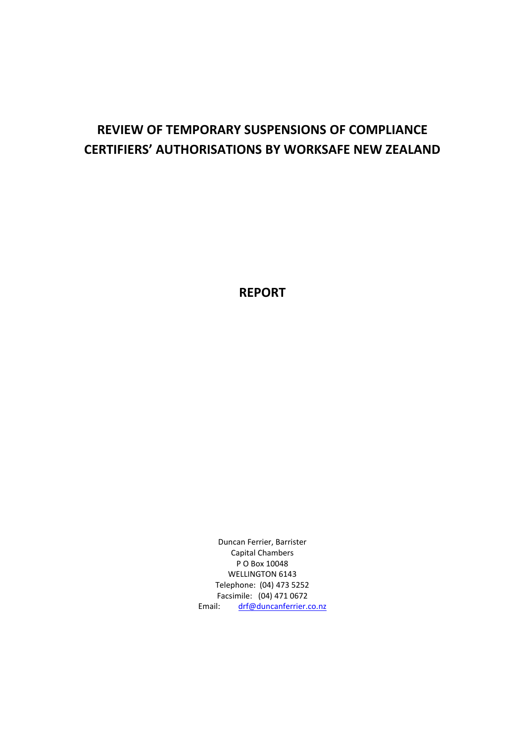# **REVIEW OF TEMPORARY SUSPENSIONS OF COMPLIANCE CERTIFIERS' AUTHORISATIONS BY WORKSAFE NEW ZEALAND**

**REPORT**

Duncan Ferrier, Barrister Capital Chambers P O Box 10048 WELLINGTON 6143 Telephone: (04) 473 5252 Facsimile: (04) 471 0672 Email: drf@duncanferrier.co.nz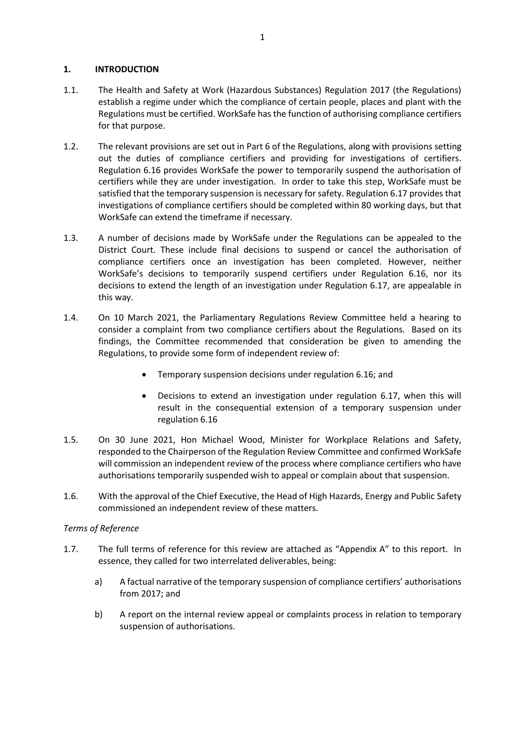# **1. INTRODUCTION**

- 1.1. The Health and Safety at Work (Hazardous Substances) Regulation 2017 (the Regulations) establish a regime under which the compliance of certain people, places and plant with the Regulations must be certified. WorkSafe has the function of authorising compliance certifiers for that purpose.
- 1.2. The relevant provisions are set out in Part 6 of the Regulations, along with provisions setting out the duties of compliance certifiers and providing for investigations of certifiers. Regulation 6.16 provides WorkSafe the power to temporarily suspend the authorisation of certifiers while they are under investigation. In order to take this step, WorkSafe must be satisfied that the temporary suspension is necessary for safety. Regulation 6.17 provides that investigations of compliance certifiers should be completed within 80 working days, but that WorkSafe can extend the timeframe if necessary.
- 1.3. A number of decisions made by WorkSafe under the Regulations can be appealed to the District Court. These include final decisions to suspend or cancel the authorisation of compliance certifiers once an investigation has been completed. However, neither WorkSafe's decisions to temporarily suspend certifiers under Regulation 6.16, nor its decisions to extend the length of an investigation under Regulation 6.17, are appealable in this way.
- 1.4. On 10 March 2021, the Parliamentary Regulations Review Committee held a hearing to consider a complaint from two compliance certifiers about the Regulations. Based on its findings, the Committee recommended that consideration be given to amending the Regulations, to provide some form of independent review of:
	- Temporary suspension decisions under regulation 6.16; and
	- Decisions to extend an investigation under regulation 6.17, when this will result in the consequential extension of a temporary suspension under regulation 6.16
- 1.5. On 30 June 2021, Hon Michael Wood, Minister for Workplace Relations and Safety, responded to the Chairperson of the Regulation Review Committee and confirmed WorkSafe will commission an independent review of the process where compliance certifiers who have authorisations temporarily suspended wish to appeal or complain about that suspension.
- 1.6. With the approval of the Chief Executive, the Head of High Hazards, Energy and Public Safety commissioned an independent review of these matters.

# *Terms of Reference*

- 1.7. The full terms of reference for this review are attached as "Appendix A" to this report. In essence, they called for two interrelated deliverables, being:
	- a) A factual narrative of the temporary suspension of compliance certifiers' authorisations from 2017; and
	- b) A report on the internal review appeal or complaints process in relation to temporary suspension of authorisations.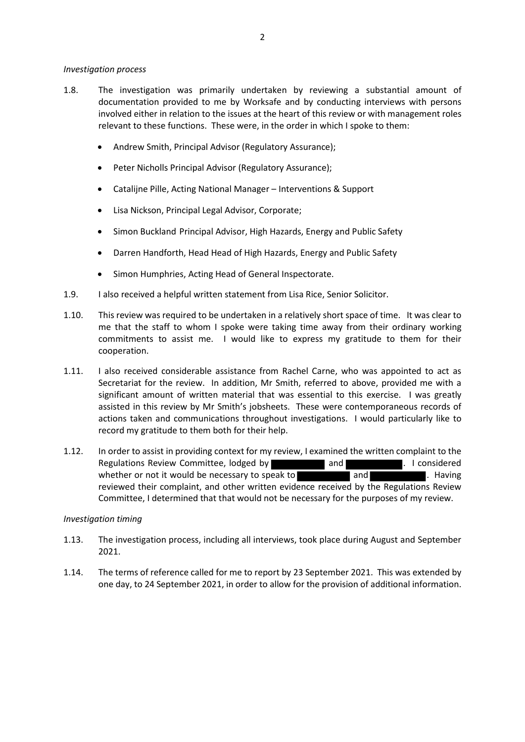### *Investigation process*

- 1.8. The investigation was primarily undertaken by reviewing a substantial amount of documentation provided to me by Worksafe and by conducting interviews with persons involved either in relation to the issues at the heart of this review or with management roles relevant to these functions. These were, in the order in which I spoke to them:
	- Andrew Smith, Principal Advisor (Regulatory Assurance);
	- Peter Nicholls Principal Advisor (Regulatory Assurance);
	- Catalijne Pille, Acting National Manager Interventions & Support
	- Lisa Nickson, Principal Legal Advisor, Corporate;
	- Simon Buckland Principal Advisor, High Hazards, Energy and Public Safety
	- Darren Handforth, Head Head of High Hazards, Energy and Public Safety
	- Simon Humphries, Acting Head of General Inspectorate.
- 1.9. I also received a helpful written statement from Lisa Rice, Senior Solicitor.
- 1.10. This review was required to be undertaken in a relatively short space of time. It was clear to me that the staff to whom I spoke were taking time away from their ordinary working commitments to assist me. I would like to express my gratitude to them for their cooperation.
- 1.11. I also received considerable assistance from Rachel Carne, who was appointed to act as Secretariat for the review. In addition, Mr Smith, referred to above, provided me with a significant amount of written material that was essential to this exercise. I was greatly assisted in this review by Mr Smith's jobsheets. These were contemporaneous records of actions taken and communications throughout investigations. I would particularly like to record my gratitude to them both for their help.
- 1.12. In order to assist in providing context for my review, I examined the written complaint to the Regulations Review Committee, lodged by and and . I considered whether or not it would be necessary to speak to  $\blacksquare$  and  $\blacksquare$  . Having reviewed their complaint, and other written evidence received by the Regulations Review Committee, I determined that that would not be necessary for the purposes of my review.

# *Investigation timing*

- 1.13. The investigation process, including all interviews, took place during August and September 2021.
- 1.14. The terms of reference called for me to report by 23 September 2021. This was extended by one day, to 24 September 2021, in order to allow for the provision of additional information.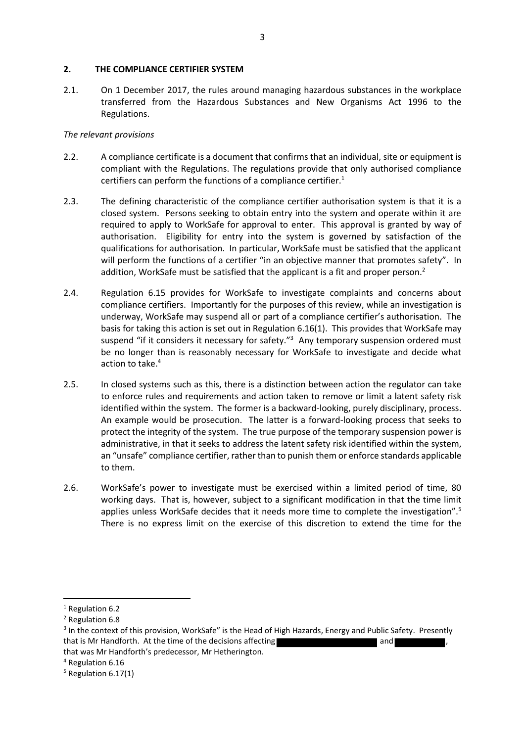### **2. THE COMPLIANCE CERTIFIER SYSTEM**

2.1. On 1 December 2017, the rules around managing hazardous substances in the workplace transferred from the Hazardous Substances and New Organisms Act 1996 to the Regulations.

# *The relevant provisions*

- 2.2. A compliance certificate is a document that confirms that an individual, site or equipment is compliant with the Regulations. The regulations provide that only authorised compliance certifiers can perform the functions of a compliance certifier. $1$
- 2.3. The defining characteristic of the compliance certifier authorisation system is that it is a closed system. Persons seeking to obtain entry into the system and operate within it are required to apply to WorkSafe for approval to enter. This approval is granted by way of authorisation. Eligibility for entry into the system is governed by satisfaction of the qualifications for authorisation. In particular, WorkSafe must be satisfied that the applicant will perform the functions of a certifier "in an objective manner that promotes safety". In addition, WorkSafe must be satisfied that the applicant is a fit and proper person.<sup>2</sup>
- 2.4. Regulation 6.15 provides for WorkSafe to investigate complaints and concerns about compliance certifiers. Importantly for the purposes of this review, while an investigation is underway, WorkSafe may suspend all or part of a compliance certifier's authorisation. The basis for taking this action is set out in Regulation 6.16(1). This provides that WorkSafe may suspend "if it considers it necessary for safety."<sup>3</sup> Any temporary suspension ordered must be no longer than is reasonably necessary for WorkSafe to investigate and decide what action to take.<sup>4</sup>
- 2.5. In closed systems such as this, there is a distinction between action the regulator can take to enforce rules and requirements and action taken to remove or limit a latent safety risk identified within the system. The former is a backward-looking, purely disciplinary, process. An example would be prosecution. The latter is a forward-looking process that seeks to protect the integrity of the system. The true purpose of the temporary suspension power is administrative, in that it seeks to address the latent safety risk identified within the system, an "unsafe" compliance certifier, rather than to punish them or enforce standards applicable to them.
- 2.6. WorkSafe's power to investigate must be exercised within a limited period of time, 80 working days. That is, however, subject to a significant modification in that the time limit applies unless WorkSafe decides that it needs more time to complete the investigation".<sup>5</sup> There is no express limit on the exercise of this discretion to extend the time for the

<sup>4</sup> Regulation 6.16

<sup>&</sup>lt;sup>1</sup> Regulation 6.2

<sup>2</sup> Regulation 6.8

<sup>&</sup>lt;sup>3</sup> In the context of this provision, WorkSafe" is the Head of High Hazards, Energy and Public Safety. Presently that is Mr Handforth. At the time of the decisions affecting  $\blacksquare$ that was Mr Handforth's predecessor, Mr Hetherington.

 $5$  Regulation 6.17(1)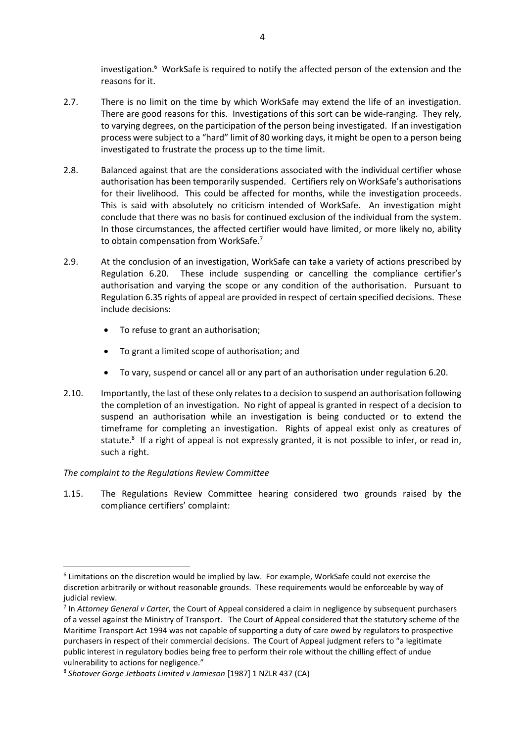investigation.<sup>6</sup> WorkSafe is required to notify the affected person of the extension and the reasons for it.

- 2.7. There is no limit on the time by which WorkSafe may extend the life of an investigation. There are good reasons for this. Investigations of this sort can be wide-ranging. They rely, to varying degrees, on the participation of the person being investigated. If an investigation process were subject to a "hard" limit of 80 working days, it might be open to a person being investigated to frustrate the process up to the time limit.
- 2.8. Balanced against that are the considerations associated with the individual certifier whose authorisation has been temporarily suspended. Certifiers rely on WorkSafe's authorisations for their livelihood. This could be affected for months, while the investigation proceeds. This is said with absolutely no criticism intended of WorkSafe. An investigation might conclude that there was no basis for continued exclusion of the individual from the system. In those circumstances, the affected certifier would have limited, or more likely no, ability to obtain compensation from WorkSafe.<sup>7</sup>
- 2.9. At the conclusion of an investigation, WorkSafe can take a variety of actions prescribed by Regulation 6.20. These include suspending or cancelling the compliance certifier's authorisation and varying the scope or any condition of the authorisation. Pursuant to Regulation 6.35 rights of appeal are provided in respect of certain specified decisions. These include decisions:
	- To refuse to grant an authorisation;
	- To grant a limited scope of authorisation; and
	- To vary, suspend or cancel all or any part of an authorisation under regulation 6.20.
- 2.10. Importantly, the last of these only relates to a decision to suspend an authorisation following the completion of an investigation. No right of appeal is granted in respect of a decision to suspend an authorisation while an investigation is being conducted or to extend the timeframe for completing an investigation. Rights of appeal exist only as creatures of statute.<sup>8</sup> If a right of appeal is not expressly granted, it is not possible to infer, or read in, such a right.

# *The complaint to the Regulations Review Committee*

1.15. The Regulations Review Committee hearing considered two grounds raised by the compliance certifiers' complaint:

<sup>&</sup>lt;sup>6</sup> Limitations on the discretion would be implied by law. For example, WorkSafe could not exercise the discretion arbitrarily or without reasonable grounds. These requirements would be enforceable by way of judicial review.

<sup>7</sup> In *Attorney General v Carter*, the Court of Appeal considered a claim in negligence by subsequent purchasers of a vessel against the Ministry of Transport. The Court of Appeal considered that the statutory scheme of the Maritime Transport Act 1994 was not capable of supporting a duty of care owed by regulators to prospective purchasers in respect of their commercial decisions. The Court of Appeal judgment refers to "a legitimate public interest in regulatory bodies being free to perform their role without the chilling effect of undue vulnerability to actions for negligence."

<sup>8</sup> *Shotover Gorge Jetboats Limited v Jamieson* [1987] 1 NZLR 437 (CA)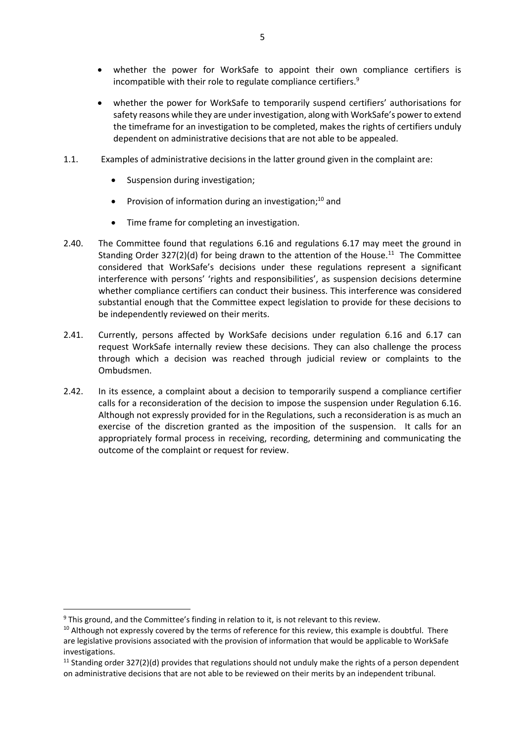- whether the power for WorkSafe to appoint their own compliance certifiers is incompatible with their role to regulate compliance certifiers.<sup>9</sup>
- whether the power for WorkSafe to temporarily suspend certifiers' authorisations for safety reasons while they are under investigation, along with WorkSafe's power to extend the timeframe for an investigation to be completed, makes the rights of certifiers unduly dependent on administrative decisions that are not able to be appealed.
- 1.1. Examples of administrative decisions in the latter ground given in the complaint are:
	- Suspension during investigation;
	- Provision of information during an investigation;<sup>10</sup> and
	- Time frame for completing an investigation.
- 2.40. The Committee found that regulations 6.16 and regulations 6.17 may meet the ground in Standing Order 327(2)(d) for being drawn to the attention of the House.<sup>11</sup> The Committee considered that WorkSafe's decisions under these regulations represent a significant interference with persons' 'rights and responsibilities', as suspension decisions determine whether compliance certifiers can conduct their business. This interference was considered substantial enough that the Committee expect legislation to provide for these decisions to be independently reviewed on their merits.
- 2.41. Currently, persons affected by WorkSafe decisions under regulation 6.16 and 6.17 can request WorkSafe internally review these decisions. They can also challenge the process through which a decision was reached through judicial review or complaints to the Ombudsmen.
- 2.42. In its essence, a complaint about a decision to temporarily suspend a compliance certifier calls for a reconsideration of the decision to impose the suspension under Regulation 6.16. Although not expressly provided for in the Regulations, such a reconsideration is as much an exercise of the discretion granted as the imposition of the suspension. It calls for an appropriately formal process in receiving, recording, determining and communicating the outcome of the complaint or request for review.

 $9$  This ground, and the Committee's finding in relation to it, is not relevant to this review.

<sup>&</sup>lt;sup>10</sup> Although not expressly covered by the terms of reference for this review, this example is doubtful. There are legislative provisions associated with the provision of information that would be applicable to WorkSafe investigations.

<sup>&</sup>lt;sup>11</sup> Standing order 327(2)(d) provides that regulations should not unduly make the rights of a person dependent on administrative decisions that are not able to be reviewed on their merits by an independent tribunal.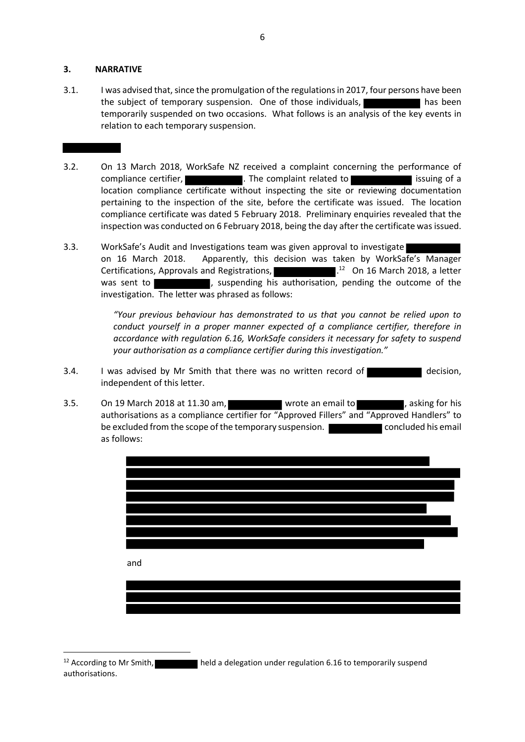#### **3. NARRATIVE**

- 3.1. I was advised that, since the promulgation of the regulations in 2017, four persons have been the subject of temporary suspension. One of those individuals, has been has been temporarily suspended on two occasions. What follows is an analysis of the key events in relation to each temporary suspension.
- 3.2. On 13 March 2018, WorkSafe NZ received a complaint concerning the performance of compliance certifier, **The complaint related to information** issuing of a location compliance certificate without inspecting the site or reviewing documentation pertaining to the inspection of the site, before the certificate was issued. The location compliance certificate was dated 5 February 2018. Preliminary enquiries revealed that the inspection was conducted on 6 February 2018, being the day after the certificate was issued.
- 3.3. WorkSafe's Audit and Investigations team was given approval to investigate on 16 March 2018. Apparently, this decision was taken by WorkSafe's Manager Certifications, Approvals and Registrations, . 12 On 16 March 2018, a letter was sent to **interpret in the suspending his authorisation**, pending the outcome of the investigation. The letter was phrased as follows:

*"Your previous behaviour has demonstrated to us that you cannot be relied upon to conduct yourself in a proper manner expected of a compliance certifier, therefore in accordance with regulation 6.16, WorkSafe considers it necessary for safety to suspend your authorisation as a compliance certifier during this investigation."*

- 3.4. I was advised by Mr Smith that there was no written record of decision, independent of this letter.
- 3.5. On 19 March 2018 at 11.30 am, wrote an email to constraint a saking for his authorisations as a compliance certifier for "Approved Fillers" and "Approved Handlers" to be excluded from the scope of the temporary suspension. **Example 20** concluded his email as follows:



<sup>12</sup> According to Mr Smith, **held a delegation under regulation 6.16 to temporarily suspend** authorisations.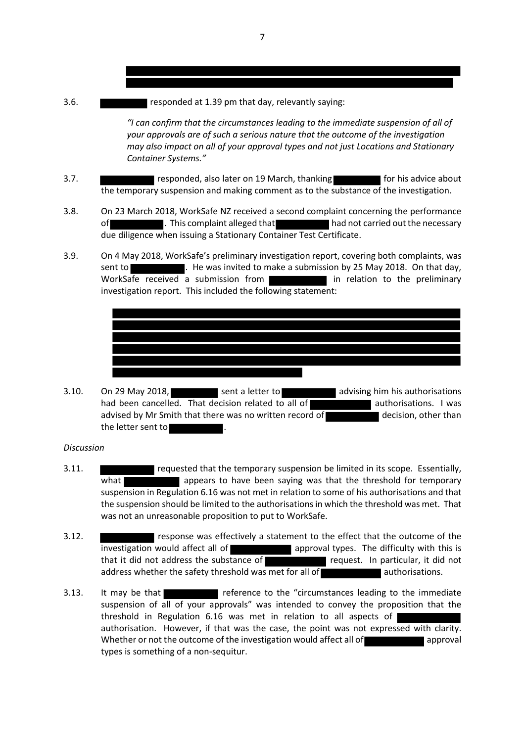3.6. **THE RESPONDED AT 1.39 pm that day, relevantly saying:** 

*"I can confirm that the circumstances leading to the immediate suspension of all of your approvals are of such a serious nature that the outcome of the investigation may also impact on all of your approval types and not just Locations and Stationary Container Systems."*

- 3.7. **Figure 2.5 responded, also later on 19 March, thanking for his advice about** the temporary suspension and making comment as to the substance of the investigation.
- 3.8. On 23 March 2018, WorkSafe NZ received a second complaint concerning the performance of **the complaint alleged that** had not carried out the necessary due diligence when issuing a Stationary Container Test Certificate.
- 3.9. On 4 May 2018, WorkSafe's preliminary investigation report, covering both complaints, was sent to . He was invited to make a submission by 25 May 2018. On that day, WorkSafe received a submission from **the submission of the state of the end in relation** to the preliminary investigation report. This included the following statement:



3.10. On 29 May 2018, Sent a letter to and advising him his authorisations had been cancelled. That decision related to all of authorisations. I was advised by Mr Smith that there was no written record of decision, other than the letter sent to

#### *Discussion*

- 3.11. requested that the temporary suspension be limited in its scope. Essentially, what appears to have been saying was that the threshold for temporary suspension in Regulation 6.16 was not met in relation to some of his authorisations and that the suspension should be limited to the authorisations in which the threshold was met. That was not an unreasonable proposition to put to WorkSafe.
- 3.12. response was effectively a statement to the effect that the outcome of the investigation would affect all of  $\Box$  approval types. The difficulty with this is that it did not address the substance of **request.** In particular, it did not address whether the safety threshold was met for all of authorisations.
- 3.13. It may be that reference to the "circumstances leading to the immediate suspension of all of your approvals" was intended to convey the proposition that the threshold in Regulation 6.16 was met in relation to all aspects of authorisation. However, if that was the case, the point was not expressed with clarity. Whether or not the outcome of the investigation would affect all of approval types is something of a non-sequitur.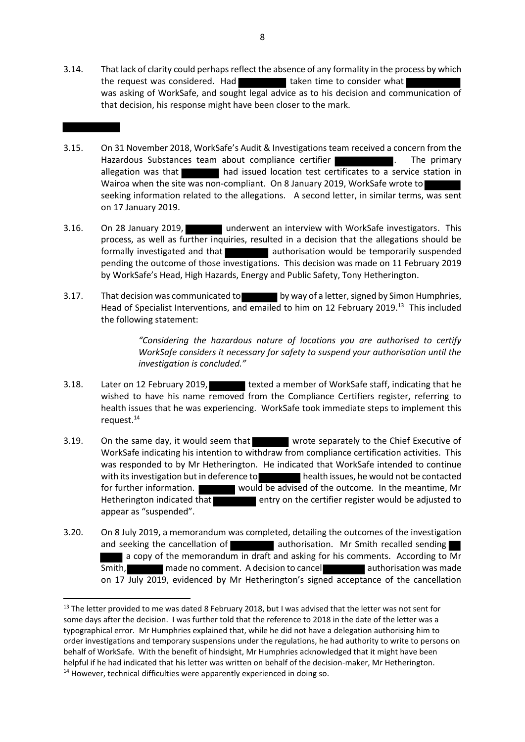3.14. That lack of clarity could perhaps reflect the absence of any formality in the process by which the request was considered. Had taken time to consider what was asking of WorkSafe, and sought legal advice as to his decision and communication of that decision, his response might have been closer to the mark.

- 3.15. On 31 November 2018, WorkSafe's Audit & Investigations team received a concern from the Hazardous Substances team about compliance certifier **Fig. 2018**. The primary allegation was that had issued location test certificates to a service station in Wairoa when the site was non-compliant. On 8 January 2019, WorkSafe wrote to seeking information related to the allegations. A second letter, in similar terms, was sent on 17 January 2019.
- 3.16. On 28 January 2019, underwent an interview with WorkSafe investigators. This process, as well as further inquiries, resulted in a decision that the allegations should be formally investigated and that **and authorisation would be temporarily suspended** pending the outcome of those investigations. This decision was made on 11 February 2019 by WorkSafe's Head, High Hazards, Energy and Public Safety, Tony Hetherington.
- 3.17. That decision was communicated to by way of a letter, signed by Simon Humphries, Head of Specialist Interventions, and emailed to him on 12 February 2019.<sup>13</sup> This included the following statement:

*"Considering the hazardous nature of locations you are authorised to certify WorkSafe considers it necessary for safety to suspend your authorisation until the investigation is concluded."*

- 3.18. Later on 12 February 2019, texted a member of WorkSafe staff, indicating that he wished to have his name removed from the Compliance Certifiers register, referring to health issues that he was experiencing. WorkSafe took immediate steps to implement this request.<sup>14</sup>
- 3.19. On the same day, it would seem that wrote separately to the Chief Executive of WorkSafe indicating his intention to withdraw from compliance certification activities. This was responded to by Mr Hetherington. He indicated that WorkSafe intended to continue with its investigation but in deference to health issues, he would not be contacted for further information. Would be advised of the outcome. In the meantime, Mr Hetherington indicated that  $\blacksquare$  entry on the certifier register would be adjusted to appear as "suspended".
- 3.20. On 8 July 2019, a memorandum was completed, detailing the outcomes of the investigation and seeking the cancellation of authorisation. Mr Smith recalled sending a copy of the memorandum in draft and asking for his comments. According to Mr Smith, made no comment. A decision to cancel authorisation was made on 17 July 2019, evidenced by Mr Hetherington's signed acceptance of the cancellation

<sup>&</sup>lt;sup>13</sup> The letter provided to me was dated 8 February 2018, but I was advised that the letter was not sent for some days after the decision. I was further told that the reference to 2018 in the date of the letter was a typographical error. Mr Humphries explained that, while he did not have a delegation authorising him to order investigations and temporary suspensions under the regulations, he had authority to write to persons on behalf of WorkSafe. With the benefit of hindsight, Mr Humphries acknowledged that it might have been helpful if he had indicated that his letter was written on behalf of the decision-maker, Mr Hetherington. <sup>14</sup> However, technical difficulties were apparently experienced in doing so.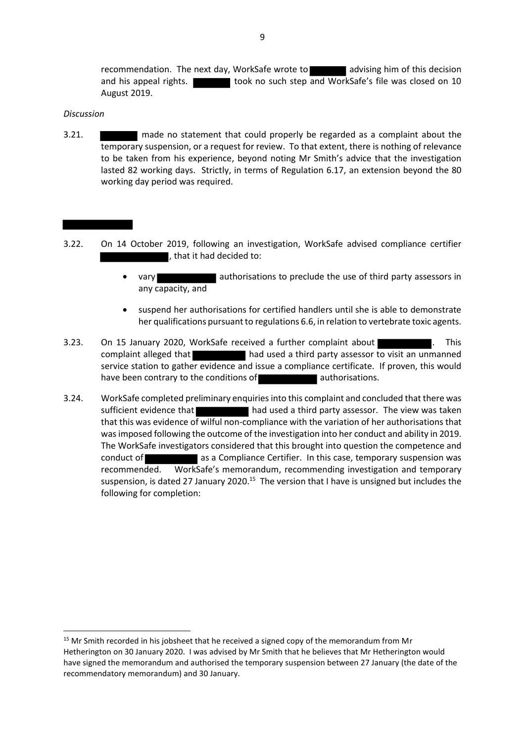recommendation. The next day, WorkSafe wrote to advising him of this decision and his appeal rights. The stook no such step and WorkSafe's file was closed on 10 August 2019.

### *Discussion*

3.21. made no statement that could properly be regarded as a complaint about the temporary suspension, or a request for review. To that extent, there is nothing of relevance to be taken from his experience, beyond noting Mr Smith's advice that the investigation lasted 82 working days. Strictly, in terms of Regulation 6.17, an extension beyond the 80 working day period was required.

- 3.22. On 14 October 2019, following an investigation, WorkSafe advised compliance certifier , that it had decided to:
	- vary vary authorisations to preclude the use of third party assessors in any capacity, and
	- suspend her authorisations for certified handlers until she is able to demonstrate her qualifications pursuant to regulations 6.6, in relation to vertebrate toxic agents.
- 3.23. On 15 January 2020, WorkSafe received a further complaint about **The Communisty Constant**. This complaint alleged that had used a third party assessor to visit an unmanned service station to gather evidence and issue a compliance certificate. If proven, this would have been contrary to the conditions of authorisations.
- 3.24. WorkSafe completed preliminary enquiries into this complaint and concluded that there was sufficient evidence that **had used a third party assessor.** The view was taken that this was evidence of wilful non-compliance with the variation of her authorisations that was imposed following the outcome of the investigation into her conduct and ability in 2019. The WorkSafe investigators considered that this brought into question the competence and conduct of as a Compliance Certifier. In this case, temporary suspension was recommended. WorkSafe's memorandum, recommending investigation and temporary suspension, is dated 27 January 2020.<sup>15</sup> The version that I have is unsigned but includes the following for completion:

<sup>&</sup>lt;sup>15</sup> Mr Smith recorded in his jobsheet that he received a signed copy of the memorandum from Mr Hetherington on 30 January 2020. I was advised by Mr Smith that he believes that Mr Hetherington would have signed the memorandum and authorised the temporary suspension between 27 January (the date of the recommendatory memorandum) and 30 January.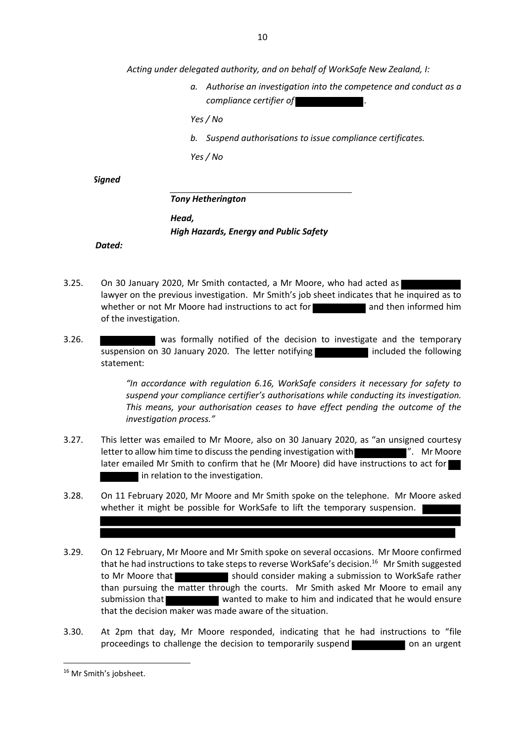*Acting under delegated authority, and on behalf of WorkSafe New Zealand, I:*

*a. Authorise an investigation into the competence and conduct as a compliance certifier of .*

*Yes / No*

*b. Suspend authorisations to issue compliance certificates.*

*Yes / No* 

*Signed*

*Tony Hetherington*

*Head, High Hazards, Energy and Public Safety* 

*Dated:*

- 3.25. On 30 January 2020, Mr Smith contacted, a Mr Moore, who had acted as lawyer on the previous investigation. Mr Smith's job sheet indicates that he inquired as to whether or not Mr Moore had instructions to act for and then informed him of the investigation.
- 3.26. **was formally notified of the decision to investigate and the temporary** suspension on 30 January 2020. The letter notifying included the following statement:

*"In accordance with regulation 6.16, WorkSafe considers it necessary for safety to suspend your compliance certifier's authorisations while conducting its investigation. This means, your authorisation ceases to have effect pending the outcome of the investigation process."*

- 3.27. This letter was emailed to Mr Moore, also on 30 January 2020, as "an unsigned courtesy letter to allow him time to discuss the pending investigation with ". Mr Moore". later emailed Mr Smith to confirm that he (Mr Moore) did have instructions to act for In relation to the investigation.
- 3.28. On 11 February 2020, Mr Moore and Mr Smith spoke on the telephone. Mr Moore asked whether it might be possible for WorkSafe to lift the temporary suspension.
- 3.29. On 12 February, Mr Moore and Mr Smith spoke on several occasions. Mr Moore confirmed that he had instructions to take steps to reverse WorkSafe's decision.<sup>16</sup> Mr Smith suggested to Mr Moore that should consider making a submission to WorkSafe rather than pursuing the matter through the courts. Mr Smith asked Mr Moore to email any submission that wanted to make to him and indicated that he would ensure that the decision maker was made aware of the situation.
- 3.30. At 2pm that day, Mr Moore responded, indicating that he had instructions to "file proceedings to challenge the decision to temporarily suspend on an urgent

<sup>&</sup>lt;sup>16</sup> Mr Smith's jobsheet.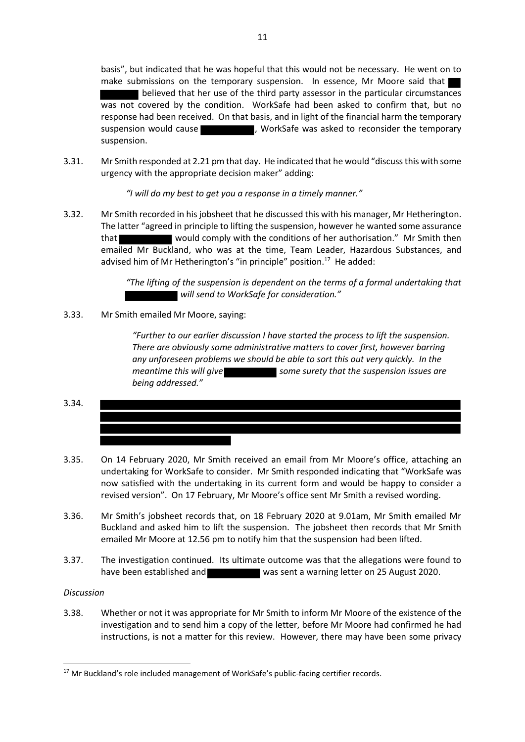basis", but indicated that he was hopeful that this would not be necessary. He went on to make submissions on the temporary suspension. In essence, Mr Moore said that **Delieved that her use of the third party assessor in the particular circumstances** was not covered by the condition. WorkSafe had been asked to confirm that, but no response had been received. On that basis, and in light of the financial harm the temporary suspension would cause **the sum of the set of the set of the temporary** suspension would cause suspension.

3.31. Mr Smith responded at 2.21 pm that day. He indicated that he would "discuss this with some urgency with the appropriate decision maker" adding:

*"I will do my best to get you a response in a timely manner."*

3.32. Mr Smith recorded in his jobsheet that he discussed this with his manager, Mr Hetherington. The latter "agreed in principle to lifting the suspension, however he wanted some assurance that would comply with the conditions of her authorisation." Mr Smith then emailed Mr Buckland, who was at the time, Team Leader, Hazardous Substances, and advised him of Mr Hetherington's "in principle" position.<sup>17</sup> He added:

> *"The lifting of the suspension is dependent on the terms of a formal undertaking that will send to WorkSafe for consideration."*

3.33. Mr Smith emailed Mr Moore, saying:

*"Further to our earlier discussion I have started the process to lift the suspension. There are obviously some administrative matters to cover first, however barring any unforeseen problems we should be able to sort this out very quickly. In the meantime this will give* some surety that the suspension issues are *being addressed."*

- 3.34.
- 3.35. On 14 February 2020, Mr Smith received an email from Mr Moore's office, attaching an undertaking for WorkSafe to consider. Mr Smith responded indicating that "WorkSafe was now satisfied with the undertaking in its current form and would be happy to consider a revised version". On 17 February, Mr Moore's office sent Mr Smith a revised wording.
- 3.36. Mr Smith's jobsheet records that, on 18 February 2020 at 9.01am, Mr Smith emailed Mr Buckland and asked him to lift the suspension. The jobsheet then records that Mr Smith emailed Mr Moore at 12.56 pm to notify him that the suspension had been lifted.
- 3.37. The investigation continued. Its ultimate outcome was that the allegations were found to have been established and was sent a warning letter on 25 August 2020.

# *Discussion*

3.38. Whether or not it was appropriate for Mr Smith to inform Mr Moore of the existence of the investigation and to send him a copy of the letter, before Mr Moore had confirmed he had instructions, is not a matter for this review. However, there may have been some privacy

<sup>&</sup>lt;sup>17</sup> Mr Buckland's role included management of WorkSafe's public-facing certifier records.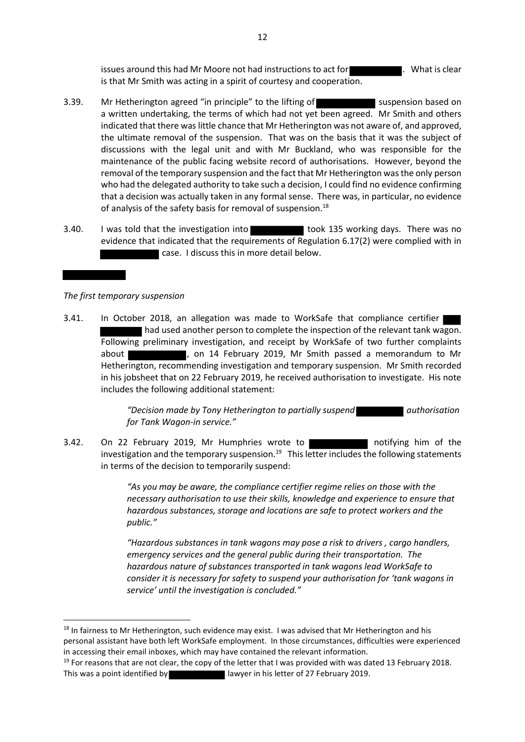issues around this had Mr Moore not had instructions to act for **the contract of the U.** What is clear is that Mr Smith was acting in a spirit of courtesy and cooperation.

- 3.39. Mr Hetherington agreed "in principle" to the lifting of suspension based on a written undertaking, the terms of which had not yet been agreed. Mr Smith and others indicated that there was little chance that Mr Hetherington was not aware of, and approved, the ultimate removal of the suspension. That was on the basis that it was the subject of discussions with the legal unit and with Mr Buckland, who was responsible for the maintenance of the public facing website record of authorisations. However, beyond the removal of the temporary suspension and the fact that Mr Hetherington was the only person who had the delegated authority to take such a decision, I could find no evidence confirming that a decision was actually taken in any formal sense. There was, in particular, no evidence of analysis of the safety basis for removal of suspension.<sup>18</sup>
- 3.40. I was told that the investigation into the took 135 working days. There was no evidence that indicated that the requirements of Regulation 6.17(2) were complied with in case. I discuss this in more detail below.

# *The first temporary suspension*

3.41. In October 2018, an allegation was made to WorkSafe that compliance certifier had used another person to complete the inspection of the relevant tank wagon. Following preliminary investigation, and receipt by WorkSafe of two further complaints about , on 14 February 2019, Mr Smith passed a memorandum to Mr Hetherington, recommending investigation and temporary suspension. Mr Smith recorded in his jobsheet that on 22 February 2019, he received authorisation to investigate. His note includes the following additional statement:

> *"Decision made by Tony Hetherington to partially suspend authorisation for Tank Wagon-in service."*

3.42. On 22 February 2019, Mr Humphries wrote to notifying him of the investigation and the temporary suspension.<sup>19</sup> This letter includes the following statements in terms of the decision to temporarily suspend:

> *"As you may be aware, the compliance certifier regime relies on those with the necessary authorisation to use their skills, knowledge and experience to ensure that hazardous substances, storage and locations are safe to protect workers and the public."*

> *"Hazardous substances in tank wagons may pose a risk to drivers , cargo handlers, emergency services and the general public during their transportation. The hazardous nature of substances transported in tank wagons lead WorkSafe to consider it is necessary for safety to suspend your authorisation for 'tank wagons in service' until the investigation is concluded."*

<sup>&</sup>lt;sup>18</sup> In fairness to Mr Hetherington, such evidence may exist. I was advised that Mr Hetherington and his personal assistant have both left WorkSafe employment. In those circumstances, difficulties were experienced in accessing their email inboxes, which may have contained the relevant information.

 $19$  For reasons that are not clear, the copy of the letter that I was provided with was dated 13 February 2018. This was a point identified by lawyer in his letter of 27 February 2019.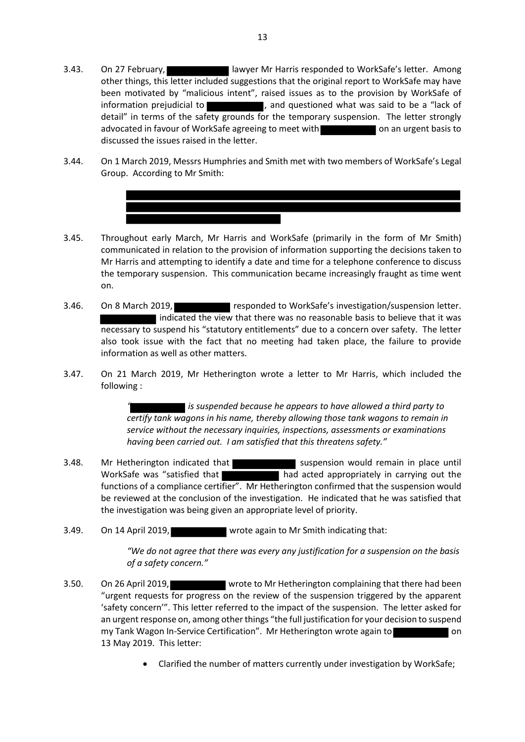3.44. On 1 March 2019, Messrs Humphries and Smith met with two members of WorkSafe's Legal Group. According to Mr Smith:



3.46. On 8 March 2019, **responded to WorkSafe's investigation/suspension letter.**  indicated the view that there was no reasonable basis to believe that it was necessary to suspend his "statutory entitlements" due to a concern over safety. The letter also took issue with the fact that no meeting had taken place, the failure to provide information as well as other matters.

on.

3.47. On 21 March 2019, Mr Hetherington wrote a letter to Mr Harris, which included the following :

> *is suspended because he appears to have allowed a third party to certify tank wagons in his name, thereby allowing those tank wagons to remain in service without the necessary inquiries, inspections, assessments or examinations having been carried out. I am satisfied that this threatens safety."*

- 3.48. Mr Hetherington indicated that suspension would remain in place until WorkSafe was "satisfied that **had acted appropriately in carrying out the** functions of a compliance certifier". Mr Hetherington confirmed that the suspension would be reviewed at the conclusion of the investigation. He indicated that he was satisfied that the investigation was being given an appropriate level of priority.
- 3.49. On 14 April 2019, wrote again to Mr Smith indicating that:

*"We do not agree that there was every any justification for a suspension on the basis of a safety concern."*

- 3.50. On 26 April 2019, wrote to Mr Hetherington complaining that there had been "urgent requests for progress on the review of the suspension triggered by the apparent 'safety concern'". This letter referred to the impact of the suspension. The letter asked for an urgent response on, among other things "the full justification for your decision to suspend my Tank Wagon In-Service Certification". Mr Hetherington wrote again to **contain the container on** on 13 May 2019. This letter:
	- Clarified the number of matters currently under investigation by WorkSafe;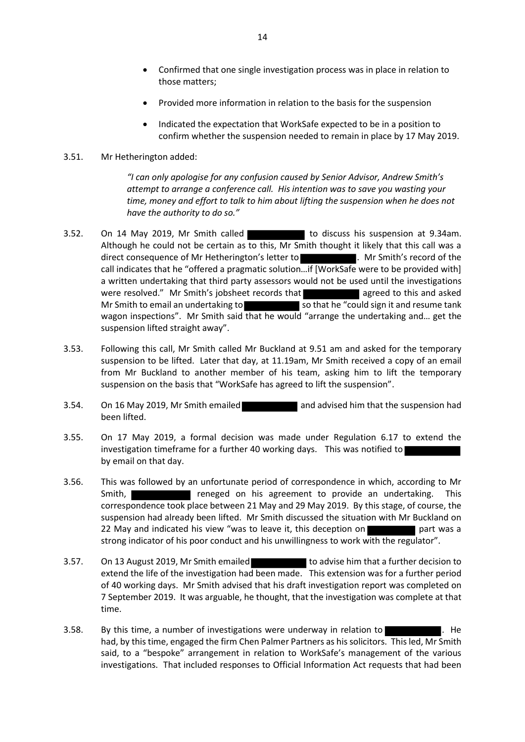- Confirmed that one single investigation process was in place in relation to those matters;
- Provided more information in relation to the basis for the suspension
- Indicated the expectation that WorkSafe expected to be in a position to confirm whether the suspension needed to remain in place by 17 May 2019.

# 3.51. Mr Hetherington added:

*"I can only apologise for any confusion caused by Senior Advisor, Andrew Smith's attempt to arrange a conference call. His intention was to save you wasting your time, money and effort to talk to him about lifting the suspension when he does not have the authority to do so."*

- 3.52. On 14 May 2019, Mr Smith called to discuss his suspension at 9.34am. Although he could not be certain as to this, Mr Smith thought it likely that this call was a direct consequence of Mr Hetherington's letter to **the summany of the state of the state of the** call indicates that he "offered a pragmatic solution…if [WorkSafe were to be provided with] a written undertaking that third party assessors would not be used until the investigations were resolved." Mr Smith's jobsheet records that agreed to this and asked Mr Smith to email an undertaking to so that he "could sign it and resume tank wagon inspections". Mr Smith said that he would "arrange the undertaking and… get the suspension lifted straight away".
- 3.53. Following this call, Mr Smith called Mr Buckland at 9.51 am and asked for the temporary suspension to be lifted. Later that day, at 11.19am, Mr Smith received a copy of an email from Mr Buckland to another member of his team, asking him to lift the temporary suspension on the basis that "WorkSafe has agreed to lift the suspension".
- 3.54. On 16 May 2019, Mr Smith emailed and advised him that the suspension had been lifted.
- 3.55. On 17 May 2019, a formal decision was made under Regulation 6.17 to extend the investigation timeframe for a further 40 working days. This was notified to by email on that day.
- 3.56. This was followed by an unfortunate period of correspondence in which, according to Mr Smith, **reneged on his agreement to provide an undertaking.** This correspondence took place between 21 May and 29 May 2019. By this stage, of course, the suspension had already been lifted. Mr Smith discussed the situation with Mr Buckland on 22 May and indicated his view "was to leave it, this deception on part was a strong indicator of his poor conduct and his unwillingness to work with the regulator".
- 3.57. On 13 August 2019, Mr Smith emailed to advise him that a further decision to extend the life of the investigation had been made. This extension was for a further period of 40 working days. Mr Smith advised that his draft investigation report was completed on 7 September 2019. It was arguable, he thought, that the investigation was complete at that time.
- 3.58. By this time, a number of investigations were underway in relation to  $\blacksquare$ . He had, by this time, engaged the firm Chen Palmer Partners as his solicitors. This led, Mr Smith said, to a "bespoke" arrangement in relation to WorkSafe's management of the various investigations. That included responses to Official Information Act requests that had been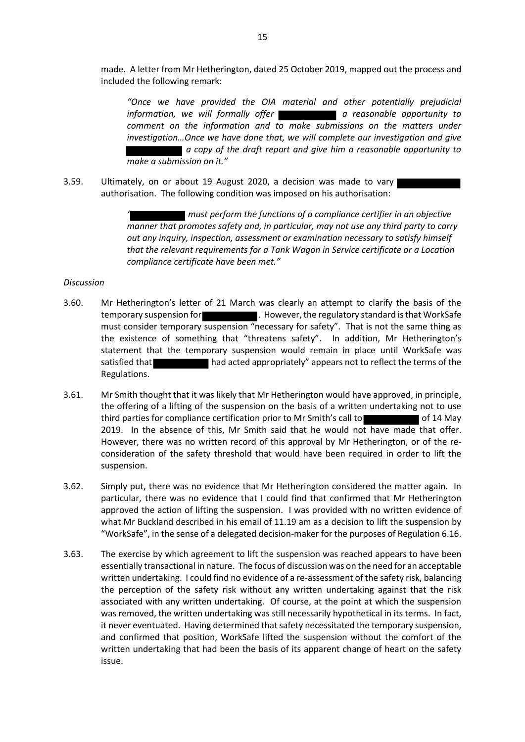made. A letter from Mr Hetherington, dated 25 October 2019, mapped out the process and included the following remark:

*"Once we have provided the OIA material and other potentially prejudicial information, we will formally offer* **a** *nemation, we will formally offer* **a** *neasonable opportunity to comment on the information and to make submissions on the matters under investigation…Once we have done that, we will complete our investigation and give a copy of the draft report and give him a reasonable opportunity to make a submission on it."*

3.59. Ultimately, on or about 19 August 2020, a decision was made to vary authorisation. The following condition was imposed on his authorisation:

> *" must perform the functions of a compliance certifier in an objective manner that promotes safety and, in particular, may not use any third party to carry out any inquiry, inspection, assessment or examination necessary to satisfy himself that the relevant requirements for a Tank Wagon in Service certificate or a Location compliance certificate have been met."*

#### *Discussion*

- 3.60. Mr Hetherington's letter of 21 March was clearly an attempt to clarify the basis of the temporary suspension for **. However, the regulatory standard is that WorkSafe** must consider temporary suspension "necessary for safety". That is not the same thing as the existence of something that "threatens safety". In addition, Mr Hetherington's statement that the temporary suspension would remain in place until WorkSafe was satisfied that **had acted appropriately**" appears not to reflect the terms of the Regulations.
- 3.61. Mr Smith thought that it was likely that Mr Hetherington would have approved, in principle, the offering of a lifting of the suspension on the basis of a written undertaking not to use third parties for compliance certification prior to Mr Smith's call to of 14 May 2019. In the absence of this, Mr Smith said that he would not have made that offer. However, there was no written record of this approval by Mr Hetherington, or of the reconsideration of the safety threshold that would have been required in order to lift the suspension.
- 3.62. Simply put, there was no evidence that Mr Hetherington considered the matter again. In particular, there was no evidence that I could find that confirmed that Mr Hetherington approved the action of lifting the suspension. I was provided with no written evidence of what Mr Buckland described in his email of 11.19 am as a decision to lift the suspension by "WorkSafe", in the sense of a delegated decision-maker for the purposes of Regulation 6.16.
- 3.63. The exercise by which agreement to lift the suspension was reached appears to have been essentially transactional in nature. The focus of discussion was on the need for an acceptable written undertaking. I could find no evidence of a re-assessment of the safety risk, balancing the perception of the safety risk without any written undertaking against that the risk associated with any written undertaking. Of course, at the point at which the suspension was removed, the written undertaking was still necessarily hypothetical in its terms. In fact, it never eventuated. Having determined that safety necessitated the temporary suspension, and confirmed that position, WorkSafe lifted the suspension without the comfort of the written undertaking that had been the basis of its apparent change of heart on the safety issue.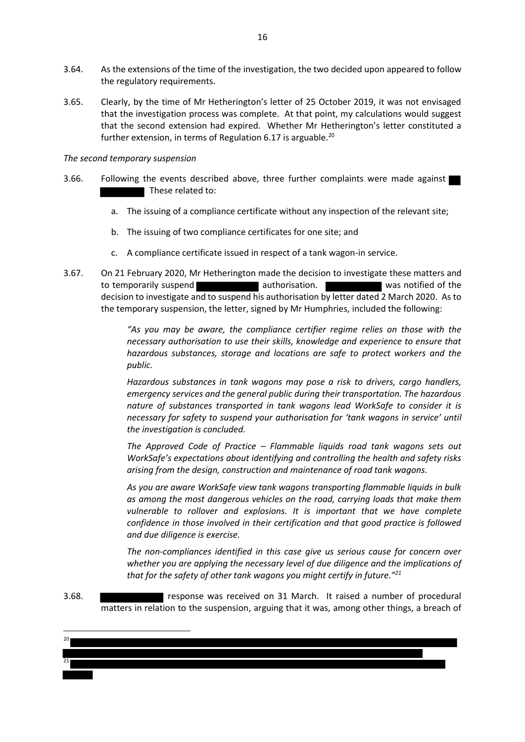- 3.64. As the extensions of the time of the investigation, the two decided upon appeared to follow the regulatory requirements.
- 3.65. Clearly, by the time of Mr Hetherington's letter of 25 October 2019, it was not envisaged that the investigation process was complete. At that point, my calculations would suggest that the second extension had expired. Whether Mr Hetherington's letter constituted a further extension, in terms of Regulation 6.17 is arguable.<sup>20</sup>

#### *The second temporary suspension*

- 3.66. Following the events described above, three further complaints were made against These related to:
	- a. The issuing of a compliance certificate without any inspection of the relevant site;
	- b. The issuing of two compliance certificates for one site; and
	- c. A compliance certificate issued in respect of a tank wagon-in service.
- 3.67. On 21 February 2020, Mr Hetherington made the decision to investigate these matters and to temporarily suspend **and authorisation.** We are was notified of the decision to investigate and to suspend his authorisation by letter dated 2 March 2020. As to the temporary suspension, the letter, signed by Mr Humphries, included the following:

*"As you may be aware, the compliance certifier regime relies on those with the necessary authorisation to use their skills, knowledge and experience to ensure that hazardous substances, storage and locations are safe to protect workers and the public.*

*Hazardous substances in tank wagons may pose a risk to drivers, cargo handlers, emergency services and the general public during their transportation. The hazardous nature of substances transported in tank wagons lead WorkSafe to consider it is necessary for safety to suspend your authorisation for 'tank wagons in service' until the investigation is concluded.*

*The Approved Code of Practice – Flammable liquids road tank wagons sets out WorkSafe's expectations about identifying and controlling the health and safety risks arising from the design, construction and maintenance of road tank wagons.*

*As you are aware WorkSafe view tank wagons transporting flammable liquids in bulk as among the most dangerous vehicles on the road, carrying loads that make them vulnerable to rollover and explosions. It is important that we have complete confidence in those involved in their certification and that good practice is followed and due diligence is exercise.*

*The non-compliances identified in this case give us serious cause for concern over whether you are applying the necessary level of due diligence and the implications of that for the safety of other tank wagons you might certify in future."<sup>21</sup>*

3.68. response was received on 31 March. It raised a number of procedural matters in relation to the suspension, arguing that it was, among other things, a breach of

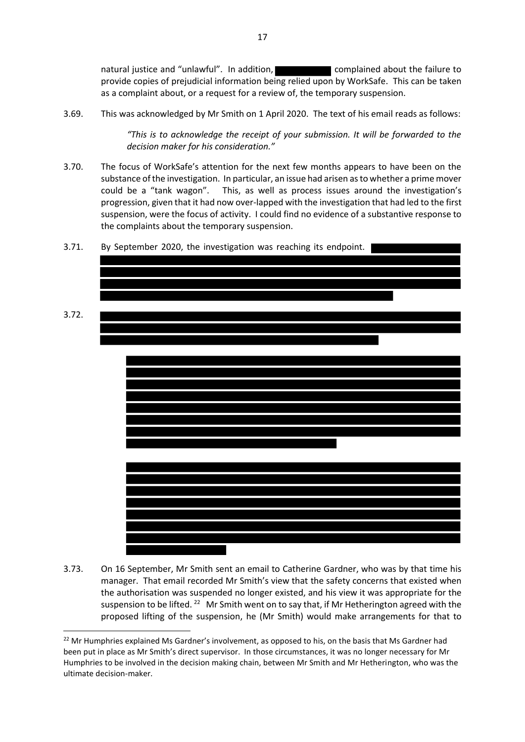natural justice and "unlawful". In addition, complained about the failure to provide copies of prejudicial information being relied upon by WorkSafe. This can be taken as a complaint about, or a request for a review of, the temporary suspension.

3.69. This was acknowledged by Mr Smith on 1 April 2020. The text of his email reads as follows:

*"This is to acknowledge the receipt of your submission. It will be forwarded to the decision maker for his consideration."*

3.70. The focus of WorkSafe's attention for the next few months appears to have been on the substance of the investigation. In particular, an issue had arisen as to whether a prime mover could be a "tank wagon". This, as well as process issues around the investigation's progression, given that it had now over-lapped with the investigation that had led to the first suspension, were the focus of activity. I could find no evidence of a substantive response to the complaints about the temporary suspension.



3.73. On 16 September, Mr Smith sent an email to Catherine Gardner, who was by that time his manager. That email recorded Mr Smith's view that the safety concerns that existed when the authorisation was suspended no longer existed, and his view it was appropriate for the suspension to be lifted.<sup>22</sup> Mr Smith went on to say that, if Mr Hetherington agreed with the proposed lifting of the suspension, he (Mr Smith) would make arrangements for that to

17

<sup>&</sup>lt;sup>22</sup> Mr Humphries explained Ms Gardner's involvement, as opposed to his, on the basis that Ms Gardner had been put in place as Mr Smith's direct supervisor. In those circumstances, it was no longer necessary for Mr Humphries to be involved in the decision making chain, between Mr Smith and Mr Hetherington, who was the ultimate decision-maker.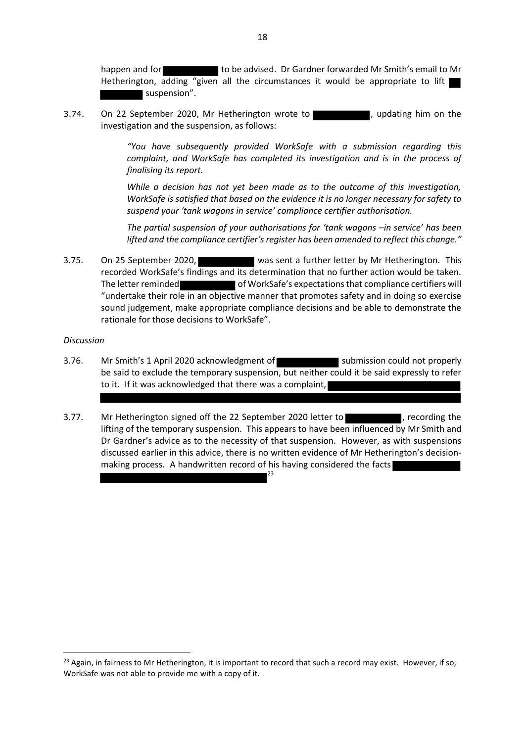happen and for the be advised. Dr Gardner forwarded Mr Smith's email to Mr Hetherington, adding "given all the circumstances it would be appropriate to lift suspension".

3.74. On 22 September 2020, Mr Hetherington wrote to **the container on the state of the state** , updating him on the investigation and the suspension, as follows:

> *"You have subsequently provided WorkSafe with a submission regarding this complaint, and WorkSafe has completed its investigation and is in the process of finalising its report.*

> *While a decision has not yet been made as to the outcome of this investigation, WorkSafe is satisfied that based on the evidence it is no longer necessary for safety to suspend your 'tank wagons in service' compliance certifier authorisation.*

> *The partial suspension of your authorisations for 'tank wagons –in service' has been lifted and the compliance certifier's register has been amended to reflect this change."*

3.75. On 25 September 2020, was sent a further letter by Mr Hetherington. This recorded WorkSafe's findings and its determination that no further action would be taken. The letter reminded of WorkSafe's expectations that compliance certifiers will "undertake their role in an objective manner that promotes safety and in doing so exercise sound judgement, make appropriate compliance decisions and be able to demonstrate the rationale for those decisions to WorkSafe".

#### *Discussion*

- 3.76. Mr Smith's 1 April 2020 acknowledgment of submission could not properly be said to exclude the temporary suspension, but neither could it be said expressly to refer to it. If it was acknowledged that there was a complaint,
- 3.77. Mr Hetherington signed off the 22 September 2020 letter to **the contract of the state of the 3.77.** Mr Hetherington signed off the 22 September 2020 letter to lifting of the temporary suspension. This appears to have been influenced by Mr Smith and Dr Gardner's advice as to the necessity of that suspension. However, as with suspensions discussed earlier in this advice, there is no written evidence of Mr Hetherington's decisionmaking process. A handwritten record of his having considered the facts

23

 $^{23}$  Again, in fairness to Mr Hetherington, it is important to record that such a record may exist. However, if so, WorkSafe was not able to provide me with a copy of it.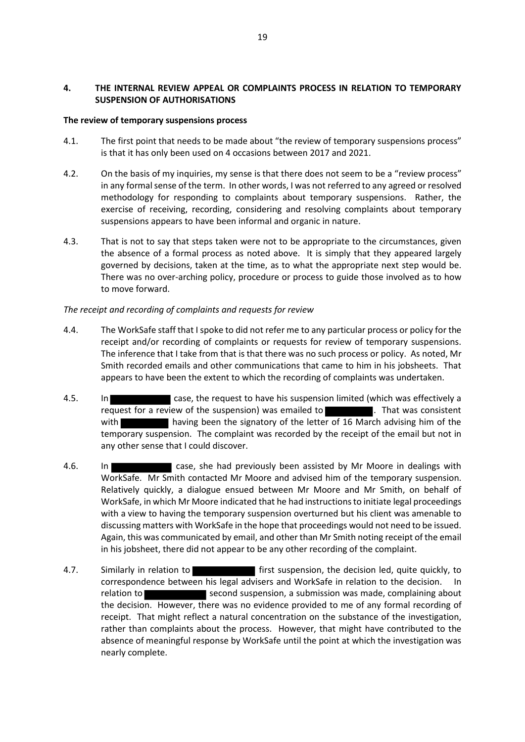# **4. THE INTERNAL REVIEW APPEAL OR COMPLAINTS PROCESS IN RELATION TO TEMPORARY SUSPENSION OF AUTHORISATIONS**

# **The review of temporary suspensions process**

- 4.1. The first point that needs to be made about "the review of temporary suspensions process" is that it has only been used on 4 occasions between 2017 and 2021.
- 4.2. On the basis of my inquiries, my sense is that there does not seem to be a "review process" in any formal sense of the term. In other words, I was not referred to any agreed or resolved methodology for responding to complaints about temporary suspensions. Rather, the exercise of receiving, recording, considering and resolving complaints about temporary suspensions appears to have been informal and organic in nature.
- 4.3. That is not to say that steps taken were not to be appropriate to the circumstances, given the absence of a formal process as noted above. It is simply that they appeared largely governed by decisions, taken at the time, as to what the appropriate next step would be. There was no over-arching policy, procedure or process to guide those involved as to how to move forward.

### *The receipt and recording of complaints and requests for review*

- 4.4. The WorkSafe staff that I spoke to did not refer me to any particular process or policy for the receipt and/or recording of complaints or requests for review of temporary suspensions. The inference that I take from that is that there was no such process or policy. As noted, Mr Smith recorded emails and other communications that came to him in his jobsheets. That appears to have been the extent to which the recording of complaints was undertaken.
- 4.5. In case, the request to have his suspension limited (which was effectively a request for a review of the suspension) was emailed to **the summannity**. That was consistent with **having been the signatory of the letter of 16 March advising him of the** temporary suspension. The complaint was recorded by the receipt of the email but not in any other sense that I could discover.
- 4.6. In case, she had previously been assisted by Mr Moore in dealings with WorkSafe. Mr Smith contacted Mr Moore and advised him of the temporary suspension. Relatively quickly, a dialogue ensued between Mr Moore and Mr Smith, on behalf of WorkSafe, in which Mr Moore indicated that he had instructions to initiate legal proceedings with a view to having the temporary suspension overturned but his client was amenable to discussing matters with WorkSafe in the hope that proceedings would not need to be issued. Again, this was communicated by email, and other than Mr Smith noting receipt of the email in his jobsheet, there did not appear to be any other recording of the complaint.
- 4.7. Similarly in relation to **first** suspension, the decision led, quite quickly, to correspondence between his legal advisers and WorkSafe in relation to the decision. In relation to second suspension, a submission was made, complaining about the decision. However, there was no evidence provided to me of any formal recording of receipt. That might reflect a natural concentration on the substance of the investigation, rather than complaints about the process. However, that might have contributed to the absence of meaningful response by WorkSafe until the point at which the investigation was nearly complete.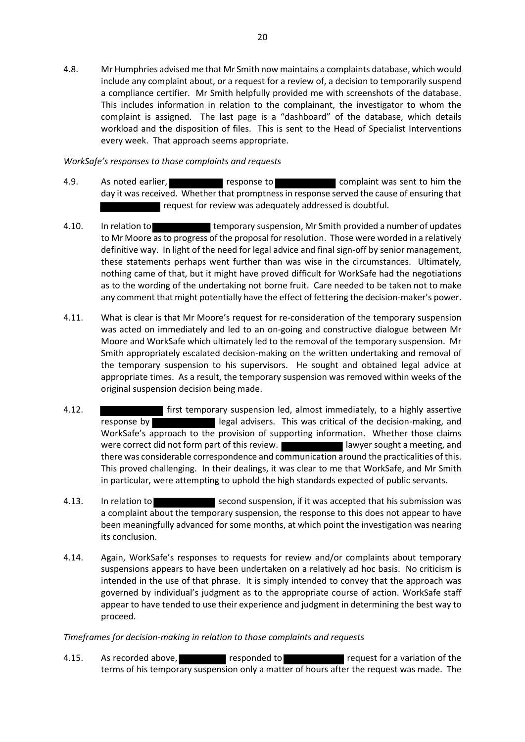4.8. Mr Humphries advised me that Mr Smith now maintains a complaints database, which would include any complaint about, or a request for a review of, a decision to temporarily suspend a compliance certifier. Mr Smith helpfully provided me with screenshots of the database. This includes information in relation to the complainant, the investigator to whom the complaint is assigned. The last page is a "dashboard" of the database, which details workload and the disposition of files. This is sent to the Head of Specialist Interventions every week. That approach seems appropriate.

# *WorkSafe's responses to those complaints and requests*

- 4.9. As noted earlier, **response to complaint was sent to him the** day it was received. Whether that promptness in response served the cause of ensuring that request for review was adequately addressed is doubtful.
- 4.10. In relation to temporary suspension, Mr Smith provided a number of updates to Mr Moore as to progress of the proposal for resolution. Those were worded in a relatively definitive way. In light of the need for legal advice and final sign-off by senior management, these statements perhaps went further than was wise in the circumstances. Ultimately, nothing came of that, but it might have proved difficult for WorkSafe had the negotiations as to the wording of the undertaking not borne fruit. Care needed to be taken not to make any comment that might potentially have the effect of fettering the decision-maker's power.
- 4.11. What is clear is that Mr Moore's request for re-consideration of the temporary suspension was acted on immediately and led to an on-going and constructive dialogue between Mr Moore and WorkSafe which ultimately led to the removal of the temporary suspension. Mr Smith appropriately escalated decision-making on the written undertaking and removal of the temporary suspension to his supervisors. He sought and obtained legal advice at appropriate times. As a result, the temporary suspension was removed within weeks of the original suspension decision being made.
- 4.12. first temporary suspension led, almost immediately, to a highly assertive response by legal advisers. This was critical of the decision-making, and WorkSafe's approach to the provision of supporting information. Whether those claims were correct did not form part of this review. lawyer sought a meeting, and there was considerable correspondence and communication around the practicalities of this. This proved challenging. In their dealings, it was clear to me that WorkSafe, and Mr Smith in particular, were attempting to uphold the high standards expected of public servants.
- 4.13. In relation to second suspension, if it was accepted that his submission was a complaint about the temporary suspension, the response to this does not appear to have been meaningfully advanced for some months, at which point the investigation was nearing its conclusion.
- 4.14. Again, WorkSafe's responses to requests for review and/or complaints about temporary suspensions appears to have been undertaken on a relatively ad hoc basis. No criticism is intended in the use of that phrase. It is simply intended to convey that the approach was governed by individual's judgment as to the appropriate course of action. WorkSafe staff appear to have tended to use their experience and judgment in determining the best way to proceed.

# *Timeframes for decision-making in relation to those complaints and requests*

4.15. As recorded above, **responded to responded to request for a variation of the** terms of his temporary suspension only a matter of hours after the request was made. The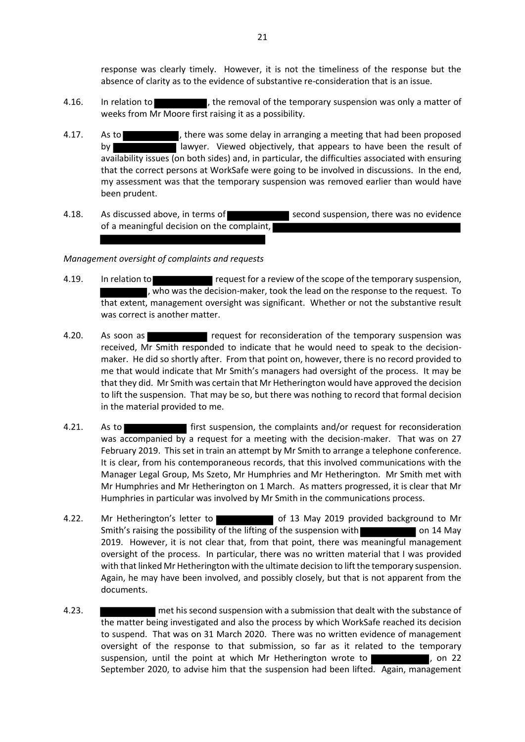response was clearly timely. However, it is not the timeliness of the response but the absence of clarity as to the evidence of substantive re-consideration that is an issue.

- 4.16. In relation to  $\blacksquare$ , the removal of the temporary suspension was only a matter of weeks from Mr Moore first raising it as a possibility.
- 4.17. As to **the state of the state of the state of the state of the state of the state of the state of the state of the state of the state of the state of the state of the state of the state of the state of the state of t** by lawyer. Viewed objectively, that appears to have been the result of availability issues (on both sides) and, in particular, the difficulties associated with ensuring that the correct persons at WorkSafe were going to be involved in discussions. In the end, my assessment was that the temporary suspension was removed earlier than would have been prudent.
- 4.18. As discussed above, in terms of second suspension, there was no evidence of a meaningful decision on the complaint,

### *Management oversight of complaints and requests*

- 4.19. In relation to request for a review of the scope of the temporary suspension, , who was the decision-maker, took the lead on the response to the request. To that extent, management oversight was significant. Whether or not the substantive result was correct is another matter.
- 4.20. As soon as request for reconsideration of the temporary suspension was received, Mr Smith responded to indicate that he would need to speak to the decisionmaker. He did so shortly after. From that point on, however, there is no record provided to me that would indicate that Mr Smith's managers had oversight of the process. It may be that they did. Mr Smith was certain that Mr Hetherington would have approved the decision to lift the suspension. That may be so, but there was nothing to record that formal decision in the material provided to me.
- 4.21. As to **first suspension, the complaints and/or request for reconsideration** was accompanied by a request for a meeting with the decision-maker. That was on 27 February 2019. This set in train an attempt by Mr Smith to arrange a telephone conference. It is clear, from his contemporaneous records, that this involved communications with the Manager Legal Group, Ms Szeto, Mr Humphries and Mr Hetherington. Mr Smith met with Mr Humphries and Mr Hetherington on 1 March. As matters progressed, it is clear that Mr Humphries in particular was involved by Mr Smith in the communications process.
- 4.22. Mr Hetherington's letter to **the of 13 May 2019 provided background to Mr** Smith's raising the possibility of the lifting of the suspension with on 14 May 2019. However, it is not clear that, from that point, there was meaningful management oversight of the process. In particular, there was no written material that I was provided with that linked Mr Hetherington with the ultimate decision to lift the temporary suspension. Again, he may have been involved, and possibly closely, but that is not apparent from the documents.
- 4.23. met his second suspension with a submission that dealt with the substance of the matter being investigated and also the process by which WorkSafe reached its decision to suspend. That was on 31 March 2020. There was no written evidence of management oversight of the response to that submission, so far as it related to the temporary suspension, until the point at which Mr Hetherington wrote to **the contact as a state** to a 22 September 2020, to advise him that the suspension had been lifted. Again, management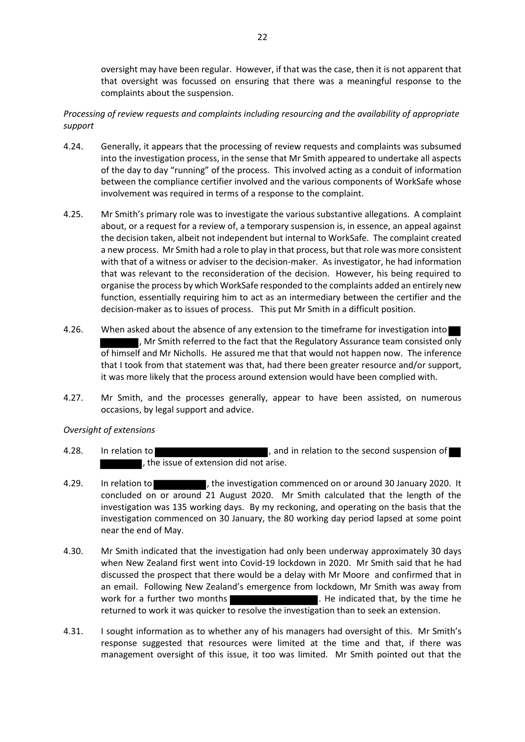oversight may have been regular. However, if that was the case, then it is not apparent that that oversight was focussed on ensuring that there was a meaningful response to the complaints about the suspension.

# *Processing of review requests and complaints including resourcing and the availability of appropriate support*

- 4.24. Generally, it appears that the processing of review requests and complaints was subsumed into the investigation process, in the sense that Mr Smith appeared to undertake all aspects of the day to day "running" of the process. This involved acting as a conduit of information between the compliance certifier involved and the various components of WorkSafe whose involvement was required in terms of a response to the complaint.
- 4.25. Mr Smith's primary role was to investigate the various substantive allegations. A complaint about, or a request for a review of, a temporary suspension is, in essence, an appeal against the decision taken, albeit not independent but internal to WorkSafe. The complaint created a new process. Mr Smith had a role to play in that process, but that role was more consistent with that of a witness or adviser to the decision-maker. As investigator, he had information that was relevant to the reconsideration of the decision. However, his being required to organise the process by which WorkSafe responded to the complaints added an entirely new function, essentially requiring him to act as an intermediary between the certifier and the decision-maker as to issues of process. This put Mr Smith in a difficult position.
- 4.26. When asked about the absence of any extension to the timeframe for investigation into . Mr Smith referred to the fact that the Regulatory Assurance team consisted only of himself and Mr Nicholls. He assured me that that would not happen now. The inference that I took from that statement was that, had there been greater resource and/or support, it was more likely that the process around extension would have been complied with.
- 4.27. Mr Smith, and the processes generally, appear to have been assisted, on numerous occasions, by legal support and advice.

# *Oversight of extensions*

- 4.28. In relation to **the second suspension of**  $\blacksquare$ , and in relation to the second suspension of , the issue of extension did not arise.
- 4.29. In relation to  $\blacksquare$ , the investigation commenced on or around 30 January 2020. It concluded on or around 21 August 2020. Mr Smith calculated that the length of the investigation was 135 working days. By my reckoning, and operating on the basis that the investigation commenced on 30 January, the 80 working day period lapsed at some point near the end of May.
- 4.30. Mr Smith indicated that the investigation had only been underway approximately 30 days when New Zealand first went into Covid-19 lockdown in 2020. Mr Smith said that he had discussed the prospect that there would be a delay with Mr Moore and confirmed that in an email. Following New Zealand's emergence from lockdown, Mr Smith was away from work for a further two months **Exercise 20 and 1** and He indicated that, by the time he returned to work it was quicker to resolve the investigation than to seek an extension.
- 4.31. I sought information as to whether any of his managers had oversight of this. Mr Smith's response suggested that resources were limited at the time and that, if there was management oversight of this issue, it too was limited. Mr Smith pointed out that the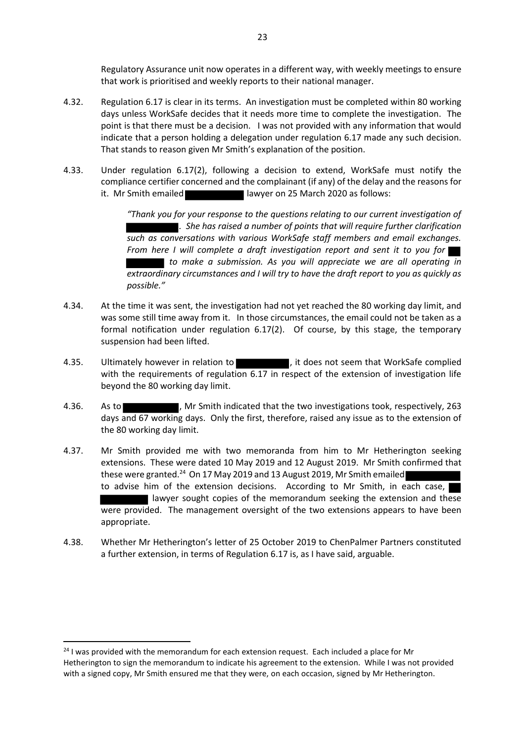Regulatory Assurance unit now operates in a different way, with weekly meetings to ensure that work is prioritised and weekly reports to their national manager.

- 4.32. Regulation 6.17 is clear in its terms. An investigation must be completed within 80 working days unless WorkSafe decides that it needs more time to complete the investigation. The point is that there must be a decision. I was not provided with any information that would indicate that a person holding a delegation under regulation 6.17 made any such decision. That stands to reason given Mr Smith's explanation of the position.
- 4.33. Under regulation 6.17(2), following a decision to extend, WorkSafe must notify the compliance certifier concerned and the complainant (if any) of the delay and the reasons for it. Mr Smith emailed lawyer on 25 March 2020 as follows:

*"Thank you for your response to the questions relating to our current investigation of . She has raised a number of points that will require further clarification such as conversations with various WorkSafe staff members and email exchanges. From here I will complete a draft investigation report and sent it to you for to make a submission. As you will appreciate we are all operating in extraordinary circumstances and I will try to have the draft report to you as quickly as possible."*

- 4.34. At the time it was sent, the investigation had not yet reached the 80 working day limit, and was some still time away from it. In those circumstances, the email could not be taken as a formal notification under regulation 6.17(2). Of course, by this stage, the temporary suspension had been lifted.
- 4.35. Ultimately however in relation to  $\blacksquare$ , it does not seem that WorkSafe complied with the requirements of regulation 6.17 in respect of the extension of investigation life beyond the 80 working day limit.
- 4.36. As to  $\blacksquare$ , Mr Smith indicated that the two investigations took, respectively, 263 days and 67 working days. Only the first, therefore, raised any issue as to the extension of the 80 working day limit.
- 4.37. Mr Smith provided me with two memoranda from him to Mr Hetherington seeking extensions. These were dated 10 May 2019 and 12 August 2019. Mr Smith confirmed that these were granted.<sup>24</sup> On 17 May 2019 and 13 August 2019, Mr Smith emailed to advise him of the extension decisions. According to Mr Smith, in each case, I lawyer sought copies of the memorandum seeking the extension and these were provided. The management oversight of the two extensions appears to have been appropriate.
- 4.38. Whether Mr Hetherington's letter of 25 October 2019 to ChenPalmer Partners constituted a further extension, in terms of Regulation 6.17 is, as I have said, arguable.

<sup>&</sup>lt;sup>24</sup> I was provided with the memorandum for each extension request. Each included a place for Mr Hetherington to sign the memorandum to indicate his agreement to the extension. While I was not provided with a signed copy, Mr Smith ensured me that they were, on each occasion, signed by Mr Hetherington.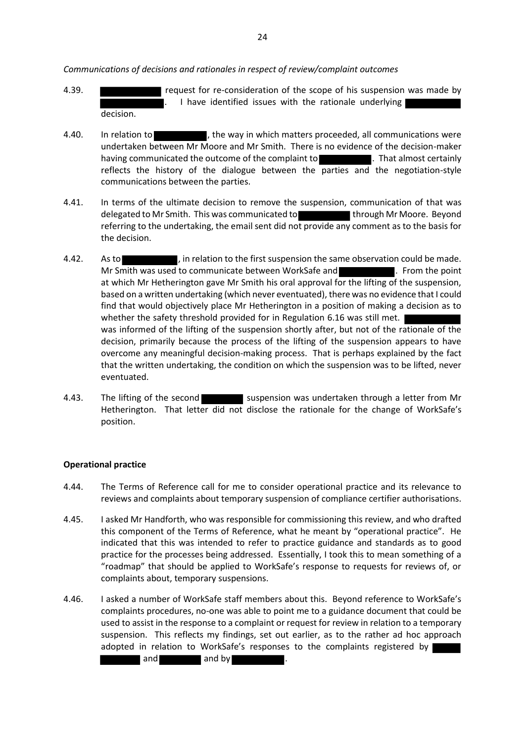*Communications of decisions and rationales in respect of review/complaint outcomes*

- 4.39. **THE READER FIGURES IS CONSTRUCTED THE SCOPE OF A SET ASSESS** request for re-consideration of the scope of his suspension was made by I have identified issues with the rationale underlying decision.
- 4.40. In relation to **the interest of the way in which matters proceeded, all communications were** undertaken between Mr Moore and Mr Smith. There is no evidence of the decision-maker having communicated the outcome of the complaint to . That almost certainly reflects the history of the dialogue between the parties and the negotiation-style communications between the parties.
- 4.41. In terms of the ultimate decision to remove the suspension, communication of that was delegated to Mr Smith. This was communicated to the state of through Mr Moore. Beyond referring to the undertaking, the email sent did not provide any comment as to the basis for the decision.
- 4.42. As to  $\blacksquare$ , in relation to the first suspension the same observation could be made. Mr Smith was used to communicate between WorkSafe and **Example 2.** From the point at which Mr Hetherington gave Mr Smith his oral approval for the lifting of the suspension, based on a written undertaking (which never eventuated), there was no evidence that I could find that would objectively place Mr Hetherington in a position of making a decision as to whether the safety threshold provided for in Regulation 6.16 was still met. | was informed of the lifting of the suspension shortly after, but not of the rationale of the decision, primarily because the process of the lifting of the suspension appears to have overcome any meaningful decision-making process. That is perhaps explained by the fact that the written undertaking, the condition on which the suspension was to be lifted, never eventuated.
- 4.43. The lifting of the second suspension was undertaken through a letter from Mr Hetherington. That letter did not disclose the rationale for the change of WorkSafe's position.

# **Operational practice**

- 4.44. The Terms of Reference call for me to consider operational practice and its relevance to reviews and complaints about temporary suspension of compliance certifier authorisations.
- 4.45. I asked Mr Handforth, who was responsible for commissioning this review, and who drafted this component of the Terms of Reference, what he meant by "operational practice". He indicated that this was intended to refer to practice guidance and standards as to good practice for the processes being addressed. Essentially, I took this to mean something of a "roadmap" that should be applied to WorkSafe's response to requests for reviews of, or complaints about, temporary suspensions.
- 4.46. I asked a number of WorkSafe staff members about this. Beyond reference to WorkSafe's complaints procedures, no-one was able to point me to a guidance document that could be used to assist in the response to a complaint or request for review in relation to a temporary suspension. This reflects my findings, set out earlier, as to the rather ad hoc approach adopted in relation to WorkSafe's responses to the complaints registered by and and by and and  $\overline{a}$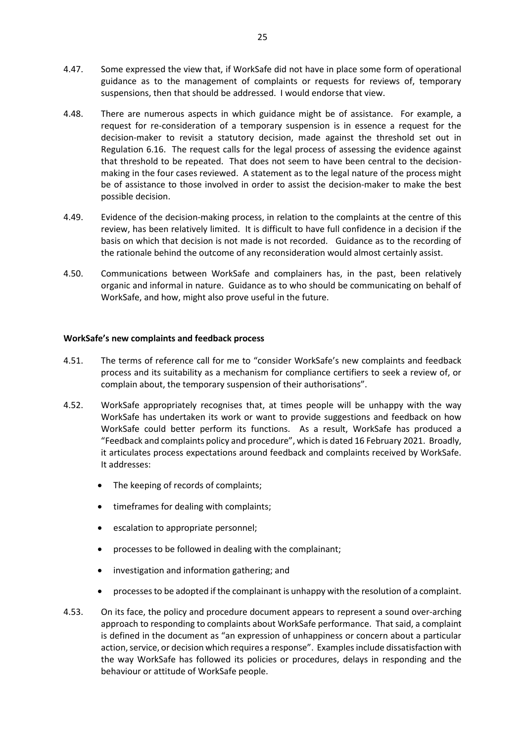- 4.47. Some expressed the view that, if WorkSafe did not have in place some form of operational guidance as to the management of complaints or requests for reviews of, temporary suspensions, then that should be addressed. I would endorse that view.
- 4.48. There are numerous aspects in which guidance might be of assistance. For example, a request for re-consideration of a temporary suspension is in essence a request for the decision-maker to revisit a statutory decision, made against the threshold set out in Regulation 6.16. The request calls for the legal process of assessing the evidence against that threshold to be repeated. That does not seem to have been central to the decisionmaking in the four cases reviewed. A statement as to the legal nature of the process might be of assistance to those involved in order to assist the decision-maker to make the best possible decision.
- 4.49. Evidence of the decision-making process, in relation to the complaints at the centre of this review, has been relatively limited. It is difficult to have full confidence in a decision if the basis on which that decision is not made is not recorded. Guidance as to the recording of the rationale behind the outcome of any reconsideration would almost certainly assist.
- 4.50. Communications between WorkSafe and complainers has, in the past, been relatively organic and informal in nature. Guidance as to who should be communicating on behalf of WorkSafe, and how, might also prove useful in the future.

### **WorkSafe's new complaints and feedback process**

- 4.51. The terms of reference call for me to "consider WorkSafe's new complaints and feedback process and its suitability as a mechanism for compliance certifiers to seek a review of, or complain about, the temporary suspension of their authorisations".
- 4.52. WorkSafe appropriately recognises that, at times people will be unhappy with the way WorkSafe has undertaken its work or want to provide suggestions and feedback on how WorkSafe could better perform its functions. As a result, WorkSafe has produced a "Feedback and complaints policy and procedure", which is dated 16 February 2021. Broadly, it articulates process expectations around feedback and complaints received by WorkSafe. It addresses:
	- The keeping of records of complaints;
	- timeframes for dealing with complaints;
	- escalation to appropriate personnel;
	- processes to be followed in dealing with the complainant;
	- investigation and information gathering; and
	- processes to be adopted if the complainant is unhappy with the resolution of a complaint.
- 4.53. On its face, the policy and procedure document appears to represent a sound over-arching approach to responding to complaints about WorkSafe performance. That said, a complaint is defined in the document as "an expression of unhappiness or concern about a particular action, service, or decision which requires a response". Examples include dissatisfaction with the way WorkSafe has followed its policies or procedures, delays in responding and the behaviour or attitude of WorkSafe people.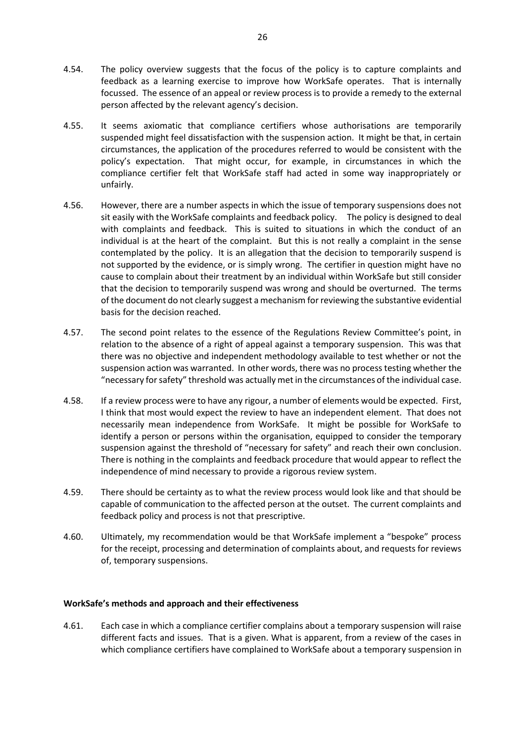- 4.54. The policy overview suggests that the focus of the policy is to capture complaints and feedback as a learning exercise to improve how WorkSafe operates. That is internally focussed. The essence of an appeal or review process is to provide a remedy to the external person affected by the relevant agency's decision.
- 4.55. It seems axiomatic that compliance certifiers whose authorisations are temporarily suspended might feel dissatisfaction with the suspension action. It might be that, in certain circumstances, the application of the procedures referred to would be consistent with the policy's expectation. That might occur, for example, in circumstances in which the compliance certifier felt that WorkSafe staff had acted in some way inappropriately or unfairly.
- 4.56. However, there are a number aspects in which the issue of temporary suspensions does not sit easily with the WorkSafe complaints and feedback policy. The policy is designed to deal with complaints and feedback. This is suited to situations in which the conduct of an individual is at the heart of the complaint. But this is not really a complaint in the sense contemplated by the policy. It is an allegation that the decision to temporarily suspend is not supported by the evidence, or is simply wrong. The certifier in question might have no cause to complain about their treatment by an individual within WorkSafe but still consider that the decision to temporarily suspend was wrong and should be overturned. The terms of the document do not clearly suggest a mechanism for reviewing the substantive evidential basis for the decision reached.
- 4.57. The second point relates to the essence of the Regulations Review Committee's point, in relation to the absence of a right of appeal against a temporary suspension. This was that there was no objective and independent methodology available to test whether or not the suspension action was warranted. In other words, there was no process testing whether the "necessary for safety" threshold was actually met in the circumstances of the individual case.
- 4.58. If a review process were to have any rigour, a number of elements would be expected. First, I think that most would expect the review to have an independent element. That does not necessarily mean independence from WorkSafe. It might be possible for WorkSafe to identify a person or persons within the organisation, equipped to consider the temporary suspension against the threshold of "necessary for safety" and reach their own conclusion. There is nothing in the complaints and feedback procedure that would appear to reflect the independence of mind necessary to provide a rigorous review system.
- 4.59. There should be certainty as to what the review process would look like and that should be capable of communication to the affected person at the outset. The current complaints and feedback policy and process is not that prescriptive.
- 4.60. Ultimately, my recommendation would be that WorkSafe implement a "bespoke" process for the receipt, processing and determination of complaints about, and requests for reviews of, temporary suspensions.

# **WorkSafe's methods and approach and their effectiveness**

4.61. Each case in which a compliance certifier complains about a temporary suspension will raise different facts and issues. That is a given. What is apparent, from a review of the cases in which compliance certifiers have complained to WorkSafe about a temporary suspension in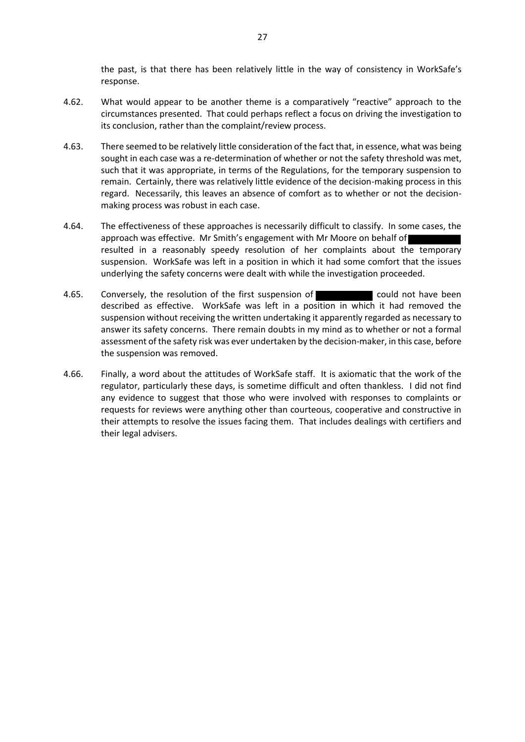the past, is that there has been relatively little in the way of consistency in WorkSafe's response.

- 4.62. What would appear to be another theme is a comparatively "reactive" approach to the circumstances presented. That could perhaps reflect a focus on driving the investigation to its conclusion, rather than the complaint/review process.
- 4.63. There seemed to be relatively little consideration of the fact that, in essence, what was being sought in each case was a re-determination of whether or not the safety threshold was met, such that it was appropriate, in terms of the Regulations, for the temporary suspension to remain. Certainly, there was relatively little evidence of the decision-making process in this regard. Necessarily, this leaves an absence of comfort as to whether or not the decisionmaking process was robust in each case.
- 4.64. The effectiveness of these approaches is necessarily difficult to classify. In some cases, the approach was effective. Mr Smith's engagement with Mr Moore on behalf of resulted in a reasonably speedy resolution of her complaints about the temporary suspension. WorkSafe was left in a position in which it had some comfort that the issues underlying the safety concerns were dealt with while the investigation proceeded.
- 4.65. Conversely, the resolution of the first suspension of **could not have been** described as effective. WorkSafe was left in a position in which it had removed the suspension without receiving the written undertaking it apparently regarded as necessary to answer its safety concerns. There remain doubts in my mind as to whether or not a formal assessment of the safety risk was ever undertaken by the decision-maker, in this case, before the suspension was removed.
- 4.66. Finally, a word about the attitudes of WorkSafe staff. It is axiomatic that the work of the regulator, particularly these days, is sometime difficult and often thankless. I did not find any evidence to suggest that those who were involved with responses to complaints or requests for reviews were anything other than courteous, cooperative and constructive in their attempts to resolve the issues facing them. That includes dealings with certifiers and their legal advisers.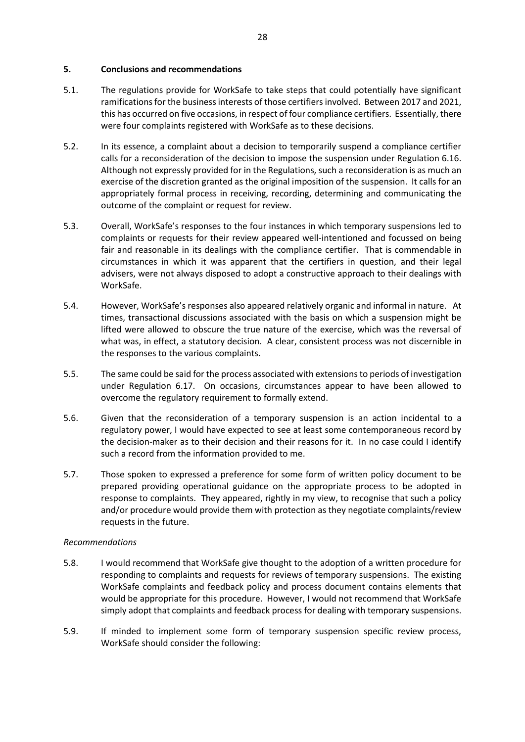### **5. Conclusions and recommendations**

- 5.1. The regulations provide for WorkSafe to take steps that could potentially have significant ramifications for the business interests of those certifiers involved. Between 2017 and 2021, this has occurred on five occasions, in respect of four compliance certifiers. Essentially, there were four complaints registered with WorkSafe as to these decisions.
- 5.2. In its essence, a complaint about a decision to temporarily suspend a compliance certifier calls for a reconsideration of the decision to impose the suspension under Regulation 6.16. Although not expressly provided for in the Regulations, such a reconsideration is as much an exercise of the discretion granted as the original imposition of the suspension. It calls for an appropriately formal process in receiving, recording, determining and communicating the outcome of the complaint or request for review.
- 5.3. Overall, WorkSafe's responses to the four instances in which temporary suspensions led to complaints or requests for their review appeared well-intentioned and focussed on being fair and reasonable in its dealings with the compliance certifier. That is commendable in circumstances in which it was apparent that the certifiers in question, and their legal advisers, were not always disposed to adopt a constructive approach to their dealings with WorkSafe.
- 5.4. However, WorkSafe's responses also appeared relatively organic and informal in nature. At times, transactional discussions associated with the basis on which a suspension might be lifted were allowed to obscure the true nature of the exercise, which was the reversal of what was, in effect, a statutory decision. A clear, consistent process was not discernible in the responses to the various complaints.
- 5.5. The same could be said for the process associated with extensions to periods of investigation under Regulation 6.17. On occasions, circumstances appear to have been allowed to overcome the regulatory requirement to formally extend.
- 5.6. Given that the reconsideration of a temporary suspension is an action incidental to a regulatory power, I would have expected to see at least some contemporaneous record by the decision-maker as to their decision and their reasons for it. In no case could I identify such a record from the information provided to me.
- 5.7. Those spoken to expressed a preference for some form of written policy document to be prepared providing operational guidance on the appropriate process to be adopted in response to complaints. They appeared, rightly in my view, to recognise that such a policy and/or procedure would provide them with protection as they negotiate complaints/review requests in the future.

# *Recommendations*

- 5.8. I would recommend that WorkSafe give thought to the adoption of a written procedure for responding to complaints and requests for reviews of temporary suspensions. The existing WorkSafe complaints and feedback policy and process document contains elements that would be appropriate for this procedure. However, I would not recommend that WorkSafe simply adopt that complaints and feedback process for dealing with temporary suspensions.
- 5.9. If minded to implement some form of temporary suspension specific review process, WorkSafe should consider the following: